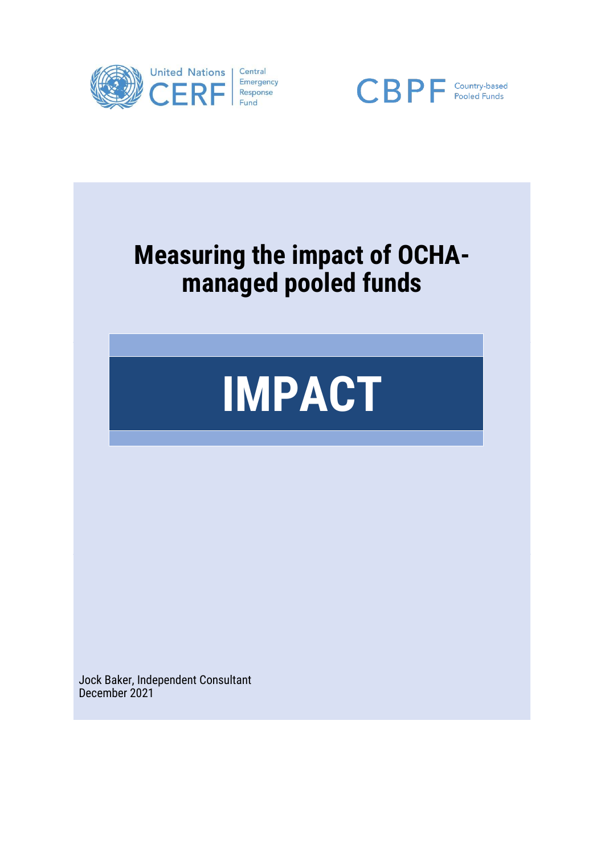





Jock Baker, Independent Consultant December 2021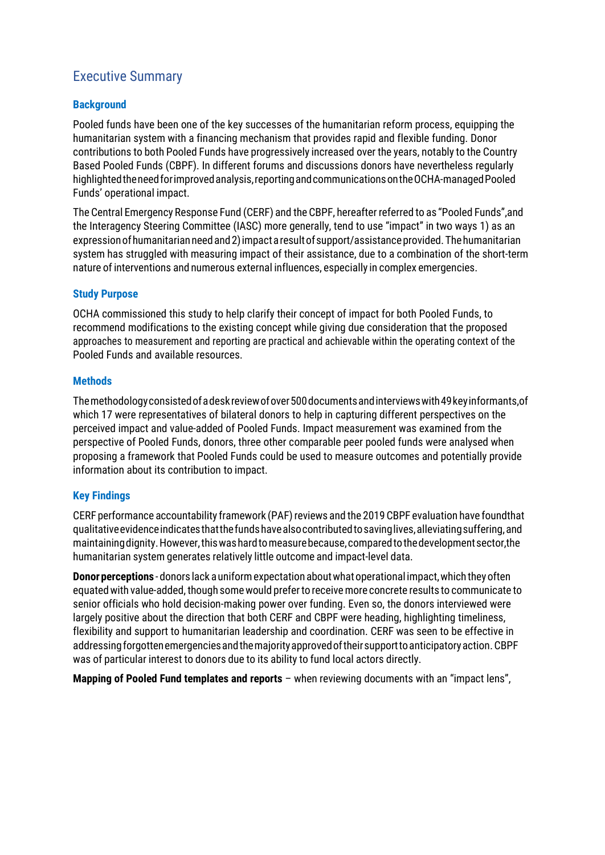# Executive Summary

# **Background**

Pooled funds have been one of the key successes of the humanitarian reform process, equipping the humanitarian system with a financing mechanism that provides rapid and flexible funding. Donor contributions to both Pooled Funds have progressively increased over the years, notably to the Country Based Pooled Funds (CBPF). In different forums and discussions donors have nevertheless regularly highlighted the need for improved analysis, reporting and communications on the OCHA-managed Pooled Funds' operational impact.

The Central Emergency Response Fund (CERF) and the CBPF, hereafter referred to as "Pooled Funds",and the Interagency Steering Committee (IASC) more generally, tend to use "impact" in two ways 1) as an expression of humanitarian need and 2) impact a result of support/assistance provided. The humanitarian system has struggled with measuring impact of their assistance, due to a combination of the short-term nature of interventions and numerous external influences, especially in complex emergencies.

## **Study Purpose**

OCHA commissioned this study to help clarify their concept of impact for both Pooled Funds, to recommend modifications to the existing concept while giving due consideration that the proposed approaches to measurement and reporting are practical and achievable within the operating context of the Pooled Funds and available resources.

#### **Methods**

Themethodologyconsistedofadeskreviewofover500documentsandinterviewswith49keyinformants,of which 17 were representatives of bilateral donors to help in capturing different perspectives on the perceived impact and value-added of Pooled Funds. Impact measurement was examined from the perspective of Pooled Funds, donors, three other comparable peer pooled funds were analysed when proposing a framework that Pooled Funds could be used to measure outcomes and potentially provide information about its contribution to impact.

## **Key Findings**

CERF performance accountability framework (PAF) reviews and the 2019 CBPF evaluation have foundthat qualitativeevidenceindicatesthatthefundshavealsocontributedtosavinglives,alleviatingsuffering,and maintainingdignity.However,thiswashardtomeasurebecause,comparedtothedevelopmentsector,the humanitarian system generates relatively little outcome and impact-level data.

**Donor perceptions** - donors lack a uniform expectation about what operational impact, which they often equatedwith value-added, though somewould preferto receivemore concrete results to communicate to senior officials who hold decision-making power over funding. Even so, the donors interviewed were largely positive about the direction that both CERF and CBPF were heading, highlighting timeliness, flexibility and support to humanitarian leadership and coordination. CERF was seen to be effective in addressing forgotten emergencies and the majority approved of their support to anticipatory action. CBPF was of particular interest to donors due to its ability to fund local actors directly.

**Mapping of Pooled Fund templates and reports** – when reviewing documents with an "impact lens",